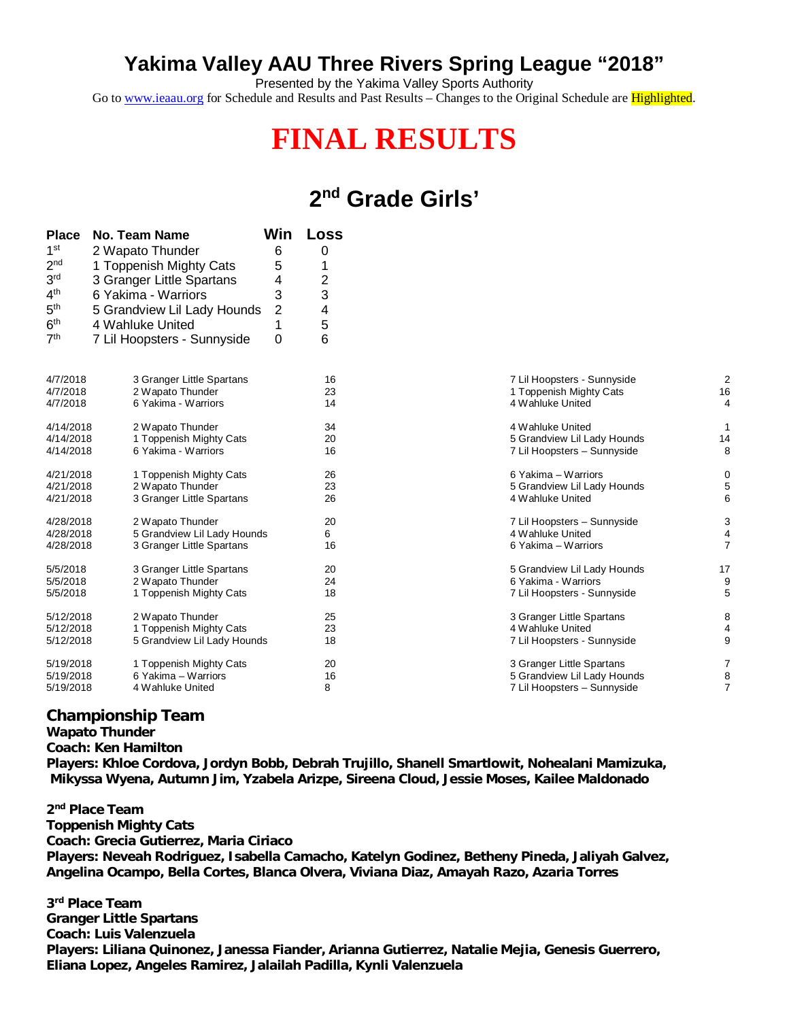## **Yakima Valley AAU Three Rivers Spring League "2018"**

Presented by the Yakima Valley Sports Authority Go to [www.ieaau.org](http://www.ieaau.org) for Schedule and Results and Past Results - Changes to the Original Schedule are Highlighted.

## **FINAL RESULTS**

## **2 nd Grade Girls'**

| <b>Place</b>    | No. Team Name               | Win | <b>Loss</b> |                             |
|-----------------|-----------------------------|-----|-------------|-----------------------------|
| 1 <sup>st</sup> | 2 Wapato Thunder            | 6   | 0           |                             |
| 2 <sub>nd</sub> | 1 Toppenish Mighty Cats     | 5   | 1           |                             |
| 3 <sup>rd</sup> | 3 Granger Little Spartans   | 4   | 2           |                             |
| 4 <sup>th</sup> | 6 Yakima - Warriors         | 3   | 3           |                             |
| 5 <sup>th</sup> | 5 Grandview Lil Lady Hounds | 2   | 4           |                             |
| 6 <sup>th</sup> | 4 Wahluke United            |     | 5           |                             |
| 7 <sup>th</sup> | 7 Lil Hoopsters - Sunnyside | 0   | 6           |                             |
|                 |                             |     |             |                             |
| 4/7/2018        | 3 Granger Little Spartans   |     | 16          | 7 Lil Hoopsters - Sunnyside |
| 4/7/2018        | 2 Wapato Thunder            |     | 23          | 1 Toppenish Mighty Cats     |
| 4/7/2018        | 6 Yakima - Warriors         |     | 14          | 4 Wahluke United            |
| 4/14/2018       | 2 Wapato Thunder            |     | 34          | 4 Wahluke United            |
| 4/14/2018       | 1 Toppenish Mighty Cats     |     | 20          | 5 Grandview Lil Lady Hounds |
| 4/14/2018       | 6 Yakima - Warriors         |     | 16          | 7 Lil Hoopsters - Sunnyside |
| 4/21/2018       | 1 Toppenish Mighty Cats     |     | 26          | 6 Yakima - Warriors         |
| 4/21/2018       | 2 Wapato Thunder            |     | 23          | 5 Grandview Lil Lady Hounds |
| 4/21/2018       | 3 Granger Little Spartans   |     | 26          | 4 Wahluke United            |
| 4/28/2018       | 2 Wapato Thunder            |     | 20          | 7 Lil Hoopsters - Sunnyside |
| 4/28/2018       | 5 Grandview Lil Lady Hounds |     | 6           | 4 Wahluke United            |
| 4/28/2018       | 3 Granger Little Spartans   |     | 16          | 6 Yakima - Warriors         |
| 5/5/2018        | 3 Granger Little Spartans   |     | 20          | 5 Grandview Lil Lady Hounds |
| 5/5/2018        | 2 Wapato Thunder            |     | 24          | 6 Yakima - Warriors         |
| 5/5/2018        | 1 Toppenish Mighty Cats     |     | 18          | 7 Lil Hoopsters - Sunnyside |
| 5/12/2018       | 2 Wapato Thunder            |     | 25          | 3 Granger Little Spartans   |
| 5/12/2018       | 1 Toppenish Mighty Cats     |     | 23          | 4 Wahluke United            |
| 5/12/2018       | 5 Grandview Lil Lady Hounds |     | 18          | 7 Lil Hoopsters - Sunnyside |
| 5/19/2018       | 1 Toppenish Mighty Cats     |     | 20          | 3 Granger Little Spartans   |
| 5/19/2018       | 6 Yakima - Warriors         |     | 16          | 5 Grandview Lil Lady Hounds |
| 5/19/2018       | 4 Wahluke United            |     | 8           | 7 Lil Hoopsters - Sunnyside |

| 7 Lil Hoopsters - Sunnyside<br>1 Toppenish Mighty Cats<br>4 Wahluke United              | 2<br>16<br>4             |
|-----------------------------------------------------------------------------------------|--------------------------|
| 4 Wahluke United<br>5 Grandview Lil Lady Hounds<br>7 Lil Hoopsters - Sunnyside          | 1<br>14<br>8             |
| 6 Yakima - Warriors<br>5 Grandview Lil Lady Hounds<br>4 Wahluke United                  | 0<br>5<br>6              |
| 7 Lil Hoopsters - Sunnyside<br>4 Wahluke United<br>6 Yakima - Warriors                  | 3<br>4<br>$\overline{7}$ |
| 5 Grandview Lil Lady Hounds<br>6 Yakima - Warriors<br>7 Lil Hoopsters - Sunnyside       | 17<br>9<br>5             |
| 3 Granger Little Spartans<br>4 Wahluke United<br>7 Lil Hoopsters - Sunnyside            | 8<br>4<br>9              |
| 3 Granger Little Spartans<br>5 Grandview Lil Lady Hounds<br>7 Lil Hoopsters - Sunnyside | 7<br>8<br>$\overline{7}$ |

## **Championship Team**

**Wapato Thunder Coach: Ken Hamilton Players: Khloe Cordova, Jordyn Bobb, Debrah Trujillo, Shanell Smartlowit, Nohealani Mamizuka, Mikyssa Wyena, Autumn Jim, Yzabela Arizpe, Sireena Cloud, Jessie Moses, Kailee Maldonado**

**2 nd Place Team Toppenish Mighty Cats Coach: Grecia Gutierrez, Maria Ciriaco Players: Neveah Rodriguez, Isabella Camacho, Katelyn Godinez, Betheny Pineda, Jaliyah Galvez, Angelina Ocampo, Bella Cortes, Blanca Olvera, Viviana Diaz, Amayah Razo, Azaria Torres**

**3 rd Place Team Granger Little Spartans Coach: Luis Valenzuela Players: Liliana Quinonez, Janessa Fiander, Arianna Gutierrez, Natalie Mejia, Genesis Guerrero, Eliana Lopez, Angeles Ramirez, Jalailah Padilla, Kynli Valenzuela**